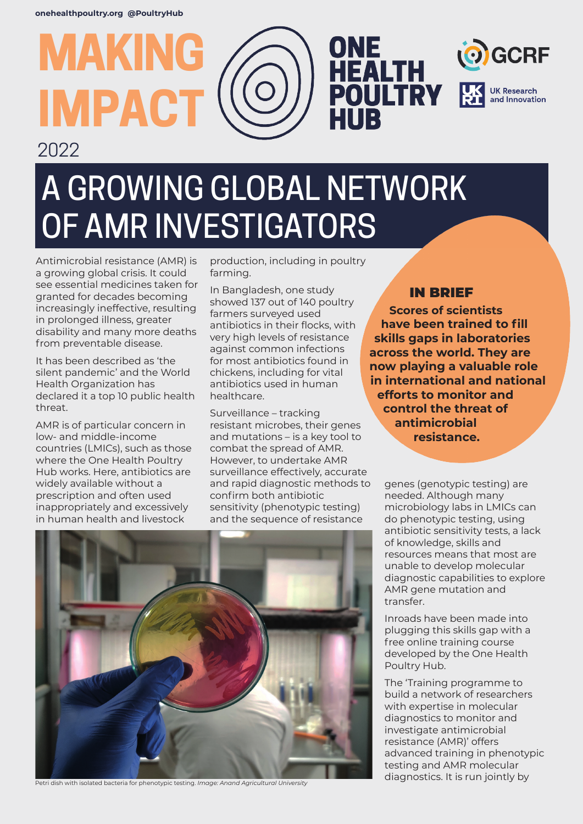**MAKING**

# **IMPACT** HUR 2022 A GROWING GLOBAL NETWORK OF AMR INVESTIGATORS

Antimicrobial resistance (AMR) is a growing global crisis. It could see essential medicines taken for granted for decades becoming increasingly ineffective, resulting in prolonged illness, greater disability and many more deaths from preventable disease.

It has been described as 'the silent pandemic' and the World Health Organization has declared it a top 10 public health threat.

AMR is of particular concern in low- and middle-income countries (LMICs), such as those where the One Health Poultry Hub works. Here, antibiotics are widely available without a prescription and often used inappropriately and excessively in human health and livestock

production, including in poultry farming.

In Bangladesh, one study showed 137 out of 140 poultry farmers surveyed used antibiotics in their flocks, with very high levels of resistance against common infections for most antibiotics found in chickens, including for vital antibiotics used in human healthcare.

Surveillance – tracking resistant microbes, their genes and mutations – is a key tool to combat the spread of AMR. However, to undertake AMR surveillance effectively, accurate and rapid diagnostic methods to confirm both antibiotic sensitivity (phenotypic testing) and the sequence of resistance

### IN BRIEF

**ONE<br>HEALTH<br>POULTRY** 

**Scores of scientists have been trained to fill skills gaps in laboratories across the world. They are now playing a valuable role in international and national efforts to monitor and control the threat of antimicrobial resistance.**

**GCRF** 

**UK Research** and Innovation

genes (genotypic testing) are needed. Although many microbiology labs in LMICs can do phenotypic testing, using antibiotic sensitivity tests, a lack of knowledge, skills and resources means that most are unable to develop molecular diagnostic capabilities to explore AMR gene mutation and transfer.

Inroads have been made into plugging this skills gap with a free online training course developed by the One Health Poultry Hub.

The 'Training programme to build a network of researchers with expertise in molecular diagnostics to monitor and investigate antimicrobial resistance (AMR)' offers advanced training in phenotypic testing and AMR molecular diagnostics. It is run jointly by



Petri dish with isolated bacteria for phenotypic testing. *Image: Anand Agricultural University*